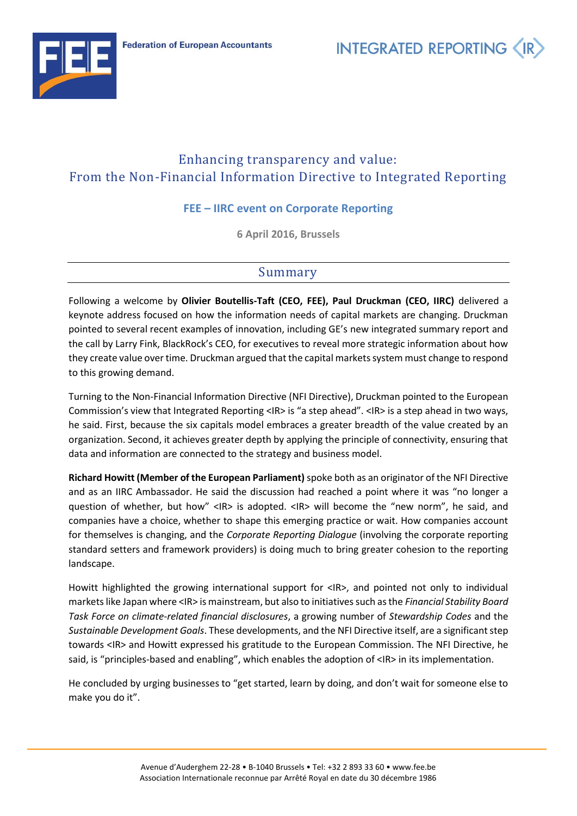

**INTEGRATED REPORTING** 

## Enhancing transparency and value: From the Non-Financial Information Directive to Integrated Reporting

## **FEE – IIRC event on Corporate Reporting**

**6 April 2016, Brussels**

## Summary

Following a welcome by **Olivier Boutellis-Taft (CEO, FEE), Paul Druckman (CEO, IIRC)** delivered a keynote address focused on how the information needs of capital markets are changing. Druckman pointed to several recent examples of innovation, including GE's new integrated summary report and the call by Larry Fink, BlackRock's CEO, for executives to reveal more strategic information about how they create value over time. Druckman argued that the capital markets system must change to respond to this growing demand.

Turning to the Non-Financial Information Directive (NFI Directive), Druckman pointed to the European Commission's view that Integrated Reporting <IR> is "a step ahead". <IR> is a step ahead in two ways, he said. First, because the six capitals model embraces a greater breadth of the value created by an organization. Second, it achieves greater depth by applying the principle of connectivity, ensuring that data and information are connected to the strategy and business model.

**Richard Howitt (Member of the European Parliament)**spoke both as an originator of the NFI Directive and as an IIRC Ambassador. He said the discussion had reached a point where it was "no longer a question of whether, but how" <IR> is adopted. <IR> will become the "new norm", he said, and companies have a choice, whether to shape this emerging practice or wait. How companies account for themselves is changing, and the *Corporate Reporting Dialogue* (involving the corporate reporting standard setters and framework providers) is doing much to bring greater cohesion to the reporting landscape.

Howitt highlighted the growing international support for <IR>, and pointed not only to individual markets like Japan where <IR> is mainstream, but also to initiatives such as the *Financial Stability Board Task Force on climate-related financial disclosures*, a growing number of *Stewardship Codes* and the *Sustainable Development Goals*. These developments, and the NFI Directive itself, are a significant step towards <IR> and Howitt expressed his gratitude to the European Commission. The NFI Directive, he said, is "principles-based and enabling", which enables the adoption of <IR> in its implementation.

He concluded by urging businesses to "get started, learn by doing, and don't wait for someone else to make you do it".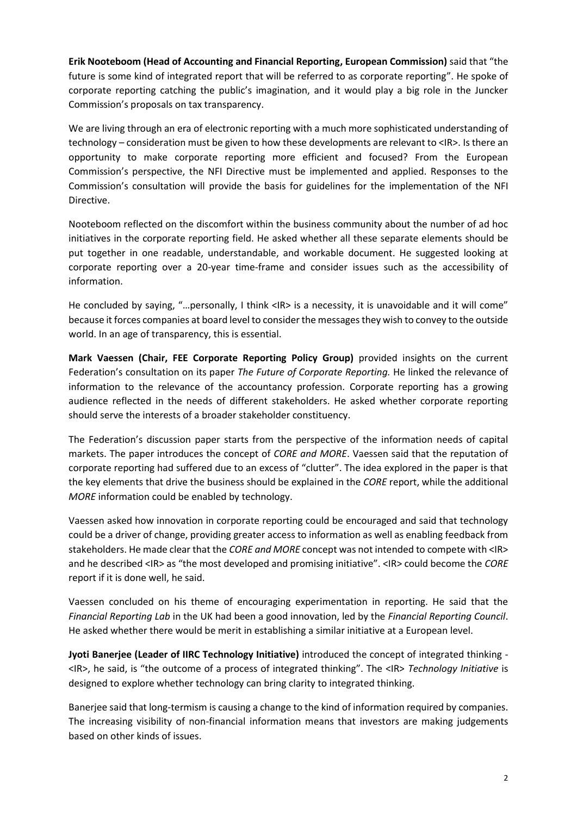**Erik Nooteboom (Head of Accounting and Financial Reporting, European Commission)** said that "the future is some kind of integrated report that will be referred to as corporate reporting". He spoke of corporate reporting catching the public's imagination, and it would play a big role in the Juncker Commission's proposals on tax transparency.

We are living through an era of electronic reporting with a much more sophisticated understanding of technology – consideration must be given to how these developments are relevant to <IR>. Is there an opportunity to make corporate reporting more efficient and focused? From the European Commission's perspective, the NFI Directive must be implemented and applied. Responses to the Commission's consultation will provide the basis for guidelines for the implementation of the NFI Directive.

Nooteboom reflected on the discomfort within the business community about the number of ad hoc initiatives in the corporate reporting field. He asked whether all these separate elements should be put together in one readable, understandable, and workable document. He suggested looking at corporate reporting over a 20-year time-frame and consider issues such as the accessibility of information.

He concluded by saying, "...personally, I think <IR> is a necessity, it is unavoidable and it will come" because it forces companies at board level to consider the messages they wish to convey to the outside world. In an age of transparency, this is essential.

**Mark Vaessen (Chair, FEE Corporate Reporting Policy Group)** provided insights on the current Federation's consultation on its paper *The Future of Corporate Reporting.* He linked the relevance of information to the relevance of the accountancy profession. Corporate reporting has a growing audience reflected in the needs of different stakeholders. He asked whether corporate reporting should serve the interests of a broader stakeholder constituency.

The Federation's discussion paper starts from the perspective of the information needs of capital markets. The paper introduces the concept of *CORE and MORE*. Vaessen said that the reputation of corporate reporting had suffered due to an excess of "clutter". The idea explored in the paper is that the key elements that drive the business should be explained in the *CORE* report, while the additional *MORE* information could be enabled by technology.

Vaessen asked how innovation in corporate reporting could be encouraged and said that technology could be a driver of change, providing greater access to information as well as enabling feedback from stakeholders. He made clear that the *CORE and MORE* concept was not intended to compete with <IR> and he described <IR> as "the most developed and promising initiative". <IR> could become the *CORE* report if it is done well, he said.

Vaessen concluded on his theme of encouraging experimentation in reporting. He said that the *Financial Reporting Lab* in the UK had been a good innovation, led by the *Financial Reporting Council*. He asked whether there would be merit in establishing a similar initiative at a European level.

**Jyoti Banerjee (Leader of IIRC Technology Initiative)** introduced the concept of integrated thinking - <IR>, he said, is "the outcome of a process of integrated thinking". The <IR> *Technology Initiative* is designed to explore whether technology can bring clarity to integrated thinking.

Banerjee said that long-termism is causing a change to the kind of information required by companies. The increasing visibility of non-financial information means that investors are making judgements based on other kinds of issues.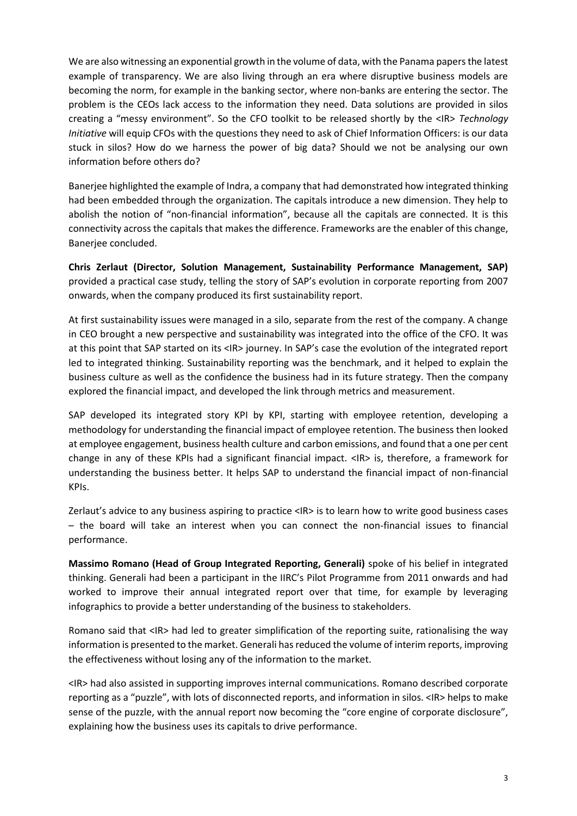We are also witnessing an exponential growth in the volume of data, with the Panama papers the latest example of transparency. We are also living through an era where disruptive business models are becoming the norm, for example in the banking sector, where non-banks are entering the sector. The problem is the CEOs lack access to the information they need. Data solutions are provided in silos creating a "messy environment". So the CFO toolkit to be released shortly by the <IR> *Technology Initiative* will equip CFOs with the questions they need to ask of Chief Information Officers: is our data stuck in silos? How do we harness the power of big data? Should we not be analysing our own information before others do?

Banerjee highlighted the example of Indra, a company that had demonstrated how integrated thinking had been embedded through the organization. The capitals introduce a new dimension. They help to abolish the notion of "non-financial information", because all the capitals are connected. It is this connectivity across the capitals that makes the difference. Frameworks are the enabler of this change, Banerjee concluded.

**Chris Zerlaut (Director, Solution Management, Sustainability Performance Management, SAP)** provided a practical case study, telling the story of SAP's evolution in corporate reporting from 2007 onwards, when the company produced its first sustainability report.

At first sustainability issues were managed in a silo, separate from the rest of the company. A change in CEO brought a new perspective and sustainability was integrated into the office of the CFO. It was at this point that SAP started on its <IR> journey. In SAP's case the evolution of the integrated report led to integrated thinking. Sustainability reporting was the benchmark, and it helped to explain the business culture as well as the confidence the business had in its future strategy. Then the company explored the financial impact, and developed the link through metrics and measurement.

SAP developed its integrated story KPI by KPI, starting with employee retention, developing a methodology for understanding the financial impact of employee retention. The business then looked at employee engagement, business health culture and carbon emissions, and found that a one per cent change in any of these KPIs had a significant financial impact. <IR> is, therefore, a framework for understanding the business better. It helps SAP to understand the financial impact of non-financial KPIs.

Zerlaut's advice to any business aspiring to practice <IR> is to learn how to write good business cases – the board will take an interest when you can connect the non-financial issues to financial performance.

**Massimo Romano (Head of Group Integrated Reporting, Generali)** spoke of his belief in integrated thinking. Generali had been a participant in the IIRC's Pilot Programme from 2011 onwards and had worked to improve their annual integrated report over that time, for example by leveraging infographics to provide a better understanding of the business to stakeholders.

Romano said that <IR> had led to greater simplification of the reporting suite, rationalising the way information is presented to the market. Generali has reduced the volume of interim reports, improving the effectiveness without losing any of the information to the market.

<IR> had also assisted in supporting improves internal communications. Romano described corporate reporting as a "puzzle", with lots of disconnected reports, and information in silos. <IR> helps to make sense of the puzzle, with the annual report now becoming the "core engine of corporate disclosure", explaining how the business uses its capitals to drive performance.